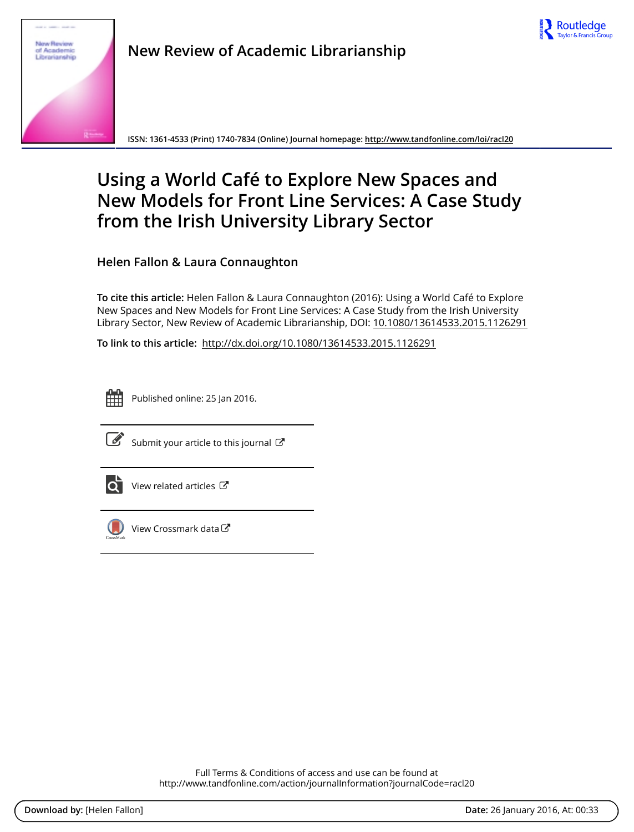



**New Review of Academic Librarianship**

**ISSN: 1361-4533 (Print) 1740-7834 (Online) Journal homepage:<http://www.tandfonline.com/loi/racl20>**

# **Using a World Café to Explore New Spaces and New Models for Front Line Services: A Case Study from the Irish University Library Sector**

**Helen Fallon & Laura Connaughton**

**To cite this article:** Helen Fallon & Laura Connaughton (2016): Using a World Café to Explore New Spaces and New Models for Front Line Services: A Case Study from the Irish University Library Sector, New Review of Academic Librarianship, DOI: [10.1080/13614533.2015.1126291](http://www.tandfonline.com/action/showCitFormats?doi=10.1080/13614533.2015.1126291)

**To link to this article:** <http://dx.doi.org/10.1080/13614533.2015.1126291>



Published online: 25 Jan 2016.



 $\overline{\mathscr{L}}$  [Submit your article to this journal](http://www.tandfonline.com/action/authorSubmission?journalCode=racl20&page=instructions)  $\mathbb{Z}$ 



 $\overline{\text{O}}$  [View related articles](http://www.tandfonline.com/doi/mlt/10.1080/13614533.2015.1126291)  $\mathbb{C}^{\bullet}$ 



[View Crossmark data](http://crossmark.crossref.org/dialog/?doi=10.1080/13614533.2015.1126291&domain=pdf&date_stamp=2016-01-25)<sup>で</sup>

Full Terms & Conditions of access and use can be found at <http://www.tandfonline.com/action/journalInformation?journalCode=racl20>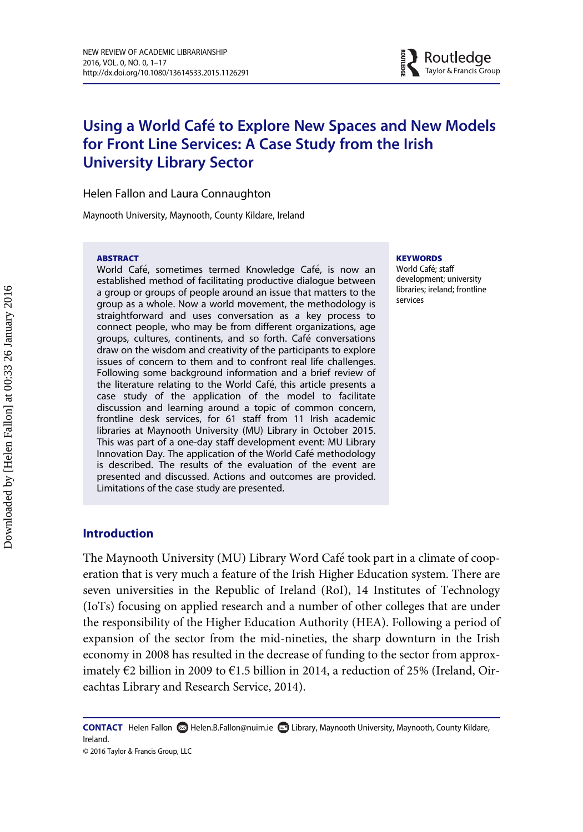

# Using a World Café to Explore New Spaces and New Models for Front Line Services: A Case Study from the Irish University Library Sector

Helen Fallon and Laura Connaughton

Maynooth University, Maynooth, County Kildare, Ireland

#### **ABSTRACT**

World Café, sometimes termed Knowledge Café, is now an established method of facilitating productive dialogue between a group or groups of people around an issue that matters to the group as a whole. Now a world movement, the methodology is straightforward and uses conversation as a key process to connect people, who may be from different organizations, age groups, cultures, continents, and so forth. Café conversations draw on the wisdom and creativity of the participants to explore issues of concern to them and to confront real life challenges. Following some background information and a brief review of the literature relating to the World Cafe, this article presents a case study of the application of the model to facilitate discussion and learning around a topic of common concern, frontline desk services, for 61 staff from 11 Irish academic libraries at Maynooth University (MU) Library in October 2015. This was part of a one-day staff development event: MU Library Innovation Day. The application of the World Café methodology is described. The results of the evaluation of the event are presented and discussed. Actions and outcomes are provided. Limitations of the case study are presented.

#### **KEYWORDS**

World Cafe; staff development; university libraries; ireland; frontline services

#### Introduction

The Maynooth University (MU) Library Word Café took part in a climate of cooperation that is very much a feature of the Irish Higher Education system. There are seven universities in the Republic of Ireland (RoI), 14 Institutes of Technology (IoTs) focusing on applied research and a number of other colleges that are under the responsibility of the Higher Education Authority (HEA). Following a period of expansion of the sector from the mid-nineties, the sharp downturn in the Irish economy in 2008 has resulted in the decrease of funding to the sector from approximately  $\epsilon$ 2 billion in 2009 to  $\epsilon$ 1.5 billion in 2014, a reduction of 25% (Ireland, Oireachtas Library and Research Service, 2014).

CONTACT Helen Fallon Helen.B.Fallon@nuim.ie Library, Maynooth University, Maynooth, County Kildare,

Ireland.

<sup>© 2016</sup> Taylor & Francis Group, LLC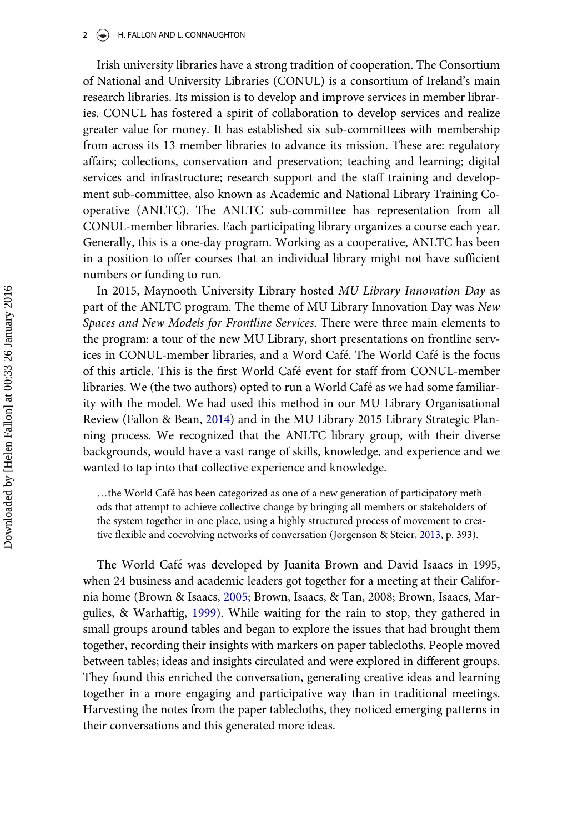#### 2  $\left(\bigcirc\right)$  H. FALLON AND L. CONNAUGHTON

Irish university libraries have a strong tradition of cooperation. The Consortium of National and University Libraries (CONUL) is a consortium of Ireland's main research libraries. Its mission is to develop and improve services in member libraries. CONUL has fostered a spirit of collaboration to develop services and realize greater value for money. It has established six sub-committees with membership from across its 13 member libraries to advance its mission. These are: regulatory affairs; collections, conservation and preservation; teaching and learning; digital services and infrastructure; research support and the staff training and development sub-committee, also known as Academic and National Library Training Cooperative (ANLTC). The ANLTC sub-committee has representation from all CONUL-member libraries. Each participating library organizes a course each year. Generally, this is a one-day program. Working as a cooperative, ANLTC has been in a position to offer courses that an individual library might not have sufficient numbers or funding to run.

In 2015, Maynooth University Library hosted MU Library Innovation Day as part of the ANLTC program. The theme of MU Library Innovation Day was New Spaces and New Models for Frontline Services. There were three main elements to the program: a tour of the new MU Library, short presentations on frontline services in CONUL-member libraries, and a Word Cafe. The World Cafe is the focus of this article. This is the first World Cafe event for staff from CONUL-member libraries. We (the two authors) opted to run a World Cafe as we had some familiarity with the model. We had used this method in our MU Library Organisational Review (Fallon & Bean, [2014\)](#page-15-0) and in the MU Library 2015 Library Strategic Planning process. We recognized that the ANLTC library group, with their diverse backgrounds, would have a vast range of skills, knowledge, and experience and we wanted to tap into that collective experience and knowledge.

…the World Cafe has been categorized as one of a new generation of participatory methods that attempt to achieve collective change by bringing all members or stakeholders of the system together in one place, using a highly structured process of movement to creative flexible and coevolving networks of conversation (Jorgenson & Steier, [2013,](#page-15-1) p. 393).

The World Cafe was developed by Juanita Brown and David Isaacs in 1995, when 24 business and academic leaders got together for a meeting at their California home (Brown & Isaacs, [2005](#page-14-0); Brown, Isaacs, & Tan, 2008; Brown, Isaacs, Margulies, & Warhaftig, [1999\)](#page-15-2). While waiting for the rain to stop, they gathered in small groups around tables and began to explore the issues that had brought them together, recording their insights with markers on paper tablecloths. People moved between tables; ideas and insights circulated and were explored in different groups. They found this enriched the conversation, generating creative ideas and learning together in a more engaging and participative way than in traditional meetings. Harvesting the notes from the paper tablecloths, they noticed emerging patterns in their conversations and this generated more ideas.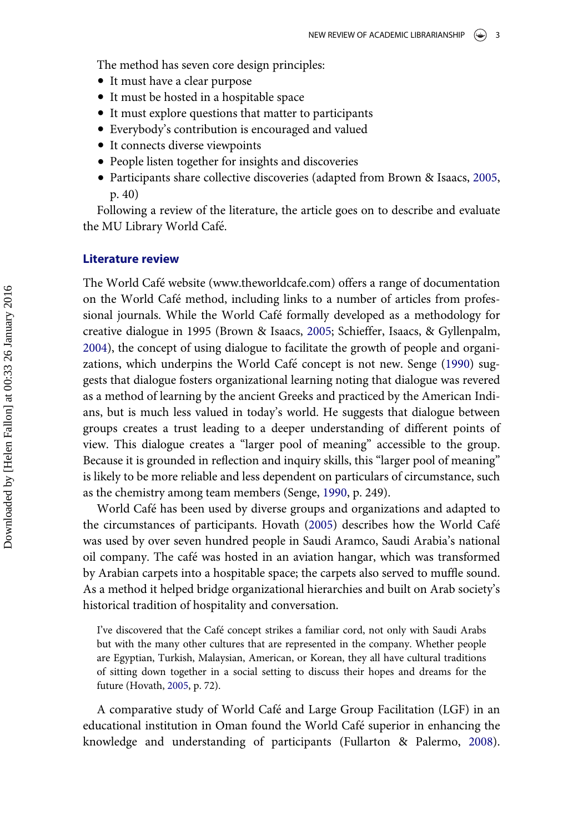The method has seven core design principles:

- It must have a clear purpose
- It must be hosted in a hospitable space
- It must explore questions that matter to participants
- Everybody's contribution is encouraged and valued
- It connects diverse viewpoints
- People listen together for insights and discoveries
- Participants share collective discoveries (adapted from Brown & Isaacs, [2005,](#page-14-0) p. 40)

Following a review of the literature, the article goes on to describe and evaluate the MU Library World Cafe.

#### Literature review

The World Cafe website [\(www.theworldcafe.com](http://www.theworldcafe.com)) offers a range of documentation on the World Cafe method, including links to a number of articles from professional journals. While the World Cafe formally developed as a methodology for creative dialogue in 1995 (Brown & Isaacs, [2005](#page-14-0); Schieffer, Isaacs, & Gyllenpalm, [2004\)](#page-15-3), the concept of using dialogue to facilitate the growth of people and organi-zations, which underpins the World Café concept is not new. Senge [\(1990](#page-15-4)) suggests that dialogue fosters organizational learning noting that dialogue was revered as a method of learning by the ancient Greeks and practiced by the American Indians, but is much less valued in today's world. He suggests that dialogue between groups creates a trust leading to a deeper understanding of different points of view. This dialogue creates a "larger pool of meaning" accessible to the group. Because it is grounded in reflection and inquiry skills, this "larger pool of meaning" is likely to be more reliable and less dependent on particulars of circumstance, such as the chemistry among team members (Senge, [1990,](#page-15-4) p. 249).

World Cafe has been used by diverse groups and organizations and adapted to the circumstances of participants. Hovath ([2005\)](#page-15-5) describes how the World Cafe was used by over seven hundred people in Saudi Aramco, Saudi Arabia's national oil company. The cafe was hosted in an aviation hangar, which was transformed by Arabian carpets into a hospitable space; the carpets also served to muffle sound. As a method it helped bridge organizational hierarchies and built on Arab society's historical tradition of hospitality and conversation.

I've discovered that the Café concept strikes a familiar cord, not only with Saudi Arabs but with the many other cultures that are represented in the company. Whether people are Egyptian, Turkish, Malaysian, American, or Korean, they all have cultural traditions of sitting down together in a social setting to discuss their hopes and dreams for the future (Hovath, [2005,](#page-15-5) p. 72).

A comparative study of World Cafe and Large Group Facilitation (LGF) in an educational institution in Oman found the World Cafe superior in enhancing the knowledge and understanding of participants (Fullarton & Palermo, [2008](#page-15-6)).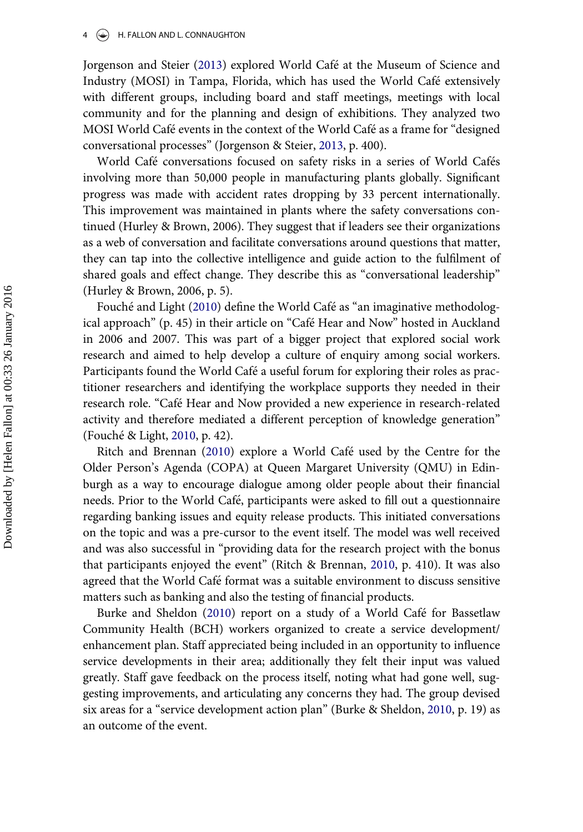#### $4 \quad (*)$  H. FALLON AND L. CONNAUGHTON

Jorgenson and Steier [\(2013](#page-15-1)) explored World Café at the Museum of Science and Industry (MOSI) in Tampa, Florida, which has used the World Cafe extensively with different groups, including board and staff meetings, meetings with local community and for the planning and design of exhibitions. They analyzed two MOSI World Cafe events in the context of the World Cafe as a frame for "designed conversational processes" (Jorgenson & Steier, [2013,](#page-15-1) p. 400).

World Café conversations focused on safety risks in a series of World Cafés involving more than 50,000 people in manufacturing plants globally. Significant progress was made with accident rates dropping by 33 percent internationally. This improvement was maintained in plants where the safety conversations continued (Hurley & Brown, 2006). They suggest that if leaders see their organizations as a web of conversation and facilitate conversations around questions that matter, they can tap into the collective intelligence and guide action to the fulfilment of shared goals and effect change. They describe this as "conversational leadership" (Hurley & Brown, 2006, p. 5).

Fouché and Light ([2010\)](#page-15-7) define the World Café as "an imaginative methodological approach" (p. 45) in their article on "Cafe Hear and Now" hosted in Auckland in 2006 and 2007. This was part of a bigger project that explored social work research and aimed to help develop a culture of enquiry among social workers. Participants found the World Cafe a useful forum for exploring their roles as practitioner researchers and identifying the workplace supports they needed in their research role. "Cafe Hear and Now provided a new experience in research-related activity and therefore mediated a different perception of knowledge generation" (Fouche & Light, [2010](#page-15-7), p. 42).

Ritch and Brennan ([2010\)](#page-15-8) explore a World Cafe used by the Centre for the Older Person's Agenda (COPA) at Queen Margaret University (QMU) in Edinburgh as a way to encourage dialogue among older people about their financial needs. Prior to the World Cafe, participants were asked to fill out a questionnaire regarding banking issues and equity release products. This initiated conversations on the topic and was a pre-cursor to the event itself. The model was well received and was also successful in "providing data for the research project with the bonus that participants enjoyed the event" (Ritch & Brennan, [2010](#page-15-8), p. 410). It was also agreed that the World Cafe format was a suitable environment to discuss sensitive matters such as banking and also the testing of financial products.

Burke and Sheldon ([2010\)](#page-15-9) report on a study of a World Cafe for Bassetlaw Community Health (BCH) workers organized to create a service development/ enhancement plan. Staff appreciated being included in an opportunity to influence service developments in their area; additionally they felt their input was valued greatly. Staff gave feedback on the process itself, noting what had gone well, suggesting improvements, and articulating any concerns they had. The group devised six areas for a "service development action plan" (Burke & Sheldon, [2010,](#page-15-9) p. 19) as an outcome of the event.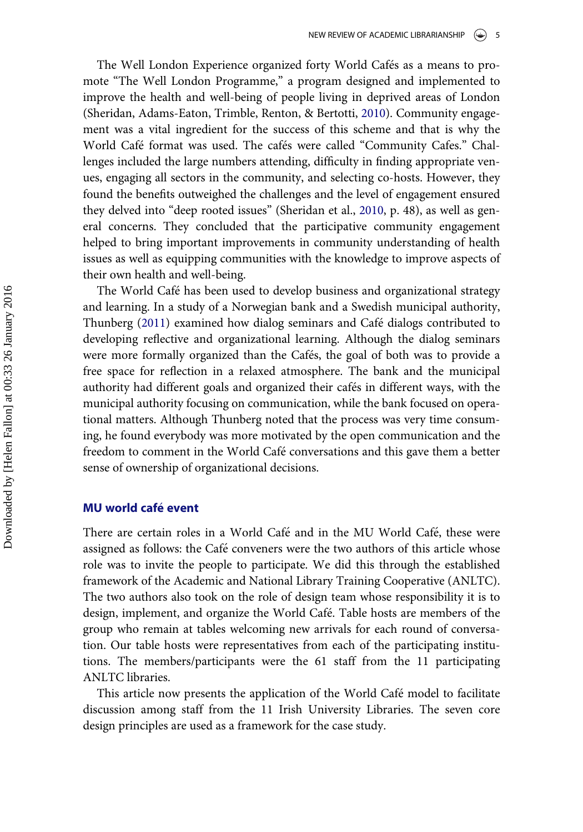The Well London Experience organized forty World Cafés as a means to promote "The Well London Programme," a program designed and implemented to improve the health and well-being of people living in deprived areas of London (Sheridan, Adams-Eaton, Trimble, Renton, & Bertotti, [2010](#page-15-10)). Community engagement was a vital ingredient for the success of this scheme and that is why the World Cafe format was used. The cafes were called "Community Cafes." Challenges included the large numbers attending, difficulty in finding appropriate venues, engaging all sectors in the community, and selecting co-hosts. However, they found the benefits outweighed the challenges and the level of engagement ensured they delved into "deep rooted issues" (Sheridan et al., [2010,](#page-15-10) p. 48), as well as general concerns. They concluded that the participative community engagement helped to bring important improvements in community understanding of health issues as well as equipping communities with the knowledge to improve aspects of their own health and well-being.

The World Cafe has been used to develop business and organizational strategy and learning. In a study of a Norwegian bank and a Swedish municipal authority, Thunberg [\(2011](#page-15-11)) examined how dialog seminars and Cafe dialogs contributed to developing reflective and organizational learning. Although the dialog seminars were more formally organized than the Cafes, the goal of both was to provide a free space for reflection in a relaxed atmosphere. The bank and the municipal authority had different goals and organized their cafés in different ways, with the municipal authority focusing on communication, while the bank focused on operational matters. Although Thunberg noted that the process was very time consuming, he found everybody was more motivated by the open communication and the freedom to comment in the World Cafe conversations and this gave them a better sense of ownership of organizational decisions.

#### MU world cafe event

There are certain roles in a World Café and in the MU World Café, these were assigned as follows: the Café conveners were the two authors of this article whose role was to invite the people to participate. We did this through the established framework of the Academic and National Library Training Cooperative (ANLTC). The two authors also took on the role of design team whose responsibility it is to design, implement, and organize the World Cafe. Table hosts are members of the group who remain at tables welcoming new arrivals for each round of conversation. Our table hosts were representatives from each of the participating institutions. The members/participants were the 61 staff from the 11 participating ANLTC libraries.

This article now presents the application of the World Café model to facilitate discussion among staff from the 11 Irish University Libraries. The seven core design principles are used as a framework for the case study.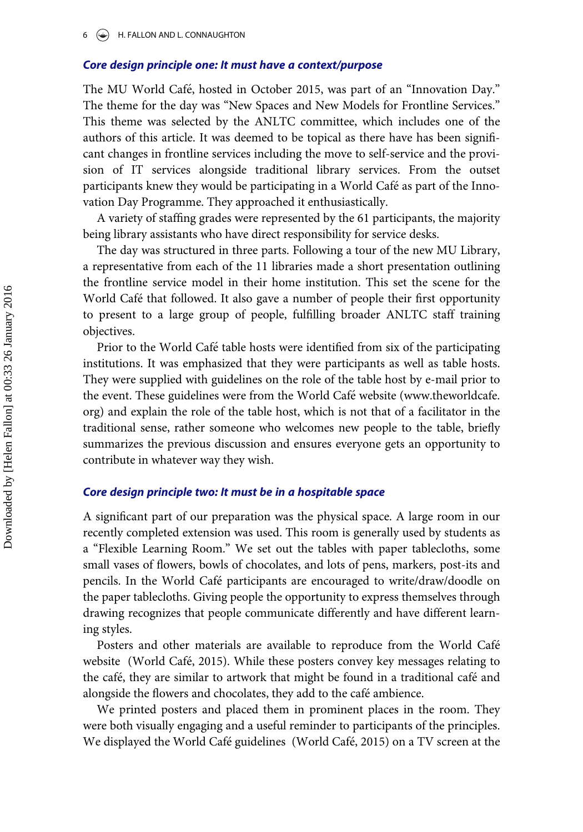6  $\left(\bigcirc\right)$  H. FALLON AND L. CONNAUGHTON

## Core design principle one: It must have a context/purpose

The MU World Café, hosted in October 2015, was part of an "Innovation Day." The theme for the day was "New Spaces and New Models for Frontline Services." This theme was selected by the ANLTC committee, which includes one of the authors of this article. It was deemed to be topical as there have has been significant changes in frontline services including the move to self-service and the provision of IT services alongside traditional library services. From the outset participants knew they would be participating in a World Cafe as part of the Innovation Day Programme. They approached it enthusiastically.

A variety of staffing grades were represented by the 61 participants, the majority being library assistants who have direct responsibility for service desks.

The day was structured in three parts. Following a tour of the new MU Library, a representative from each of the 11 libraries made a short presentation outlining the frontline service model in their home institution. This set the scene for the World Café that followed. It also gave a number of people their first opportunity to present to a large group of people, fulfilling broader ANLTC staff training objectives.

Prior to the World Café table hosts were identified from six of the participating institutions. It was emphasized that they were participants as well as table hosts. They were supplied with guidelines on the role of the table host by e-mail prior to the event. These guidelines were from the World Café website [\(www.theworldcafe.](http://www.theworldcafe.org) [org](http://www.theworldcafe.org)) and explain the role of the table host, which is not that of a facilitator in the traditional sense, rather someone who welcomes new people to the table, briefly summarizes the previous discussion and ensures everyone gets an opportunity to contribute in whatever way they wish.

#### Core design principle two: It must be in a hospitable space

A significant part of our preparation was the physical space. A large room in our recently completed extension was used. This room is generally used by students as a "Flexible Learning Room." We set out the tables with paper tablecloths, some small vases of flowers, bowls of chocolates, and lots of pens, markers, post-its and pencils. In the World Cafe participants are encouraged to write/draw/doodle on the paper tablecloths. Giving people the opportunity to express themselves through drawing recognizes that people communicate differently and have different learning styles.

Posters and other materials are available to reproduce from the World Café website (World Café, 2015). While these posters convey key messages relating to the cafe, they are similar to artwork that might be found in a traditional cafe and alongside the flowers and chocolates, they add to the café ambience.

We printed posters and placed them in prominent places in the room. They were both visually engaging and a useful reminder to participants of the principles. We displayed the World Café guidelines (World Café, 2015) on a TV screen at the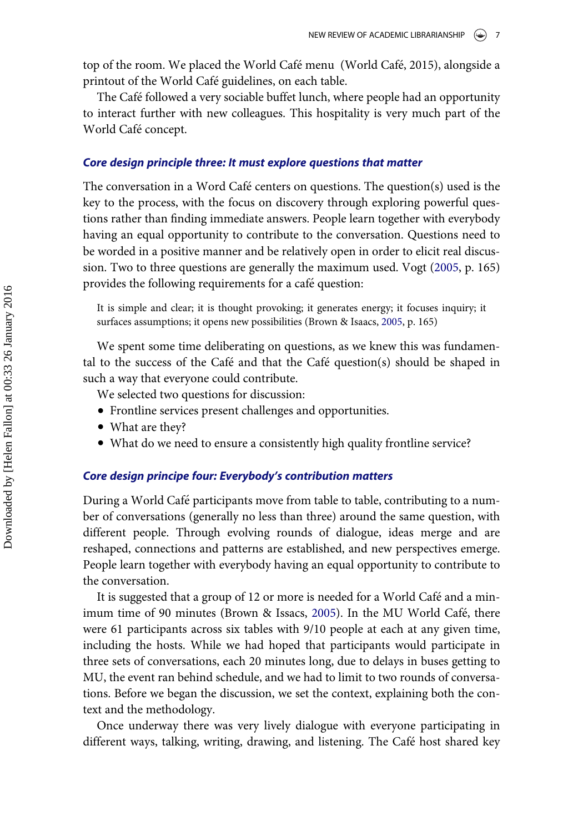top of the room. We placed the World Café menu (World Café, 2015), alongside a printout of the World Café guidelines, on each table.

The Café followed a very sociable buffet lunch, where people had an opportunity to interact further with new colleagues. This hospitality is very much part of the World Cafe concept.

#### Core design principle three: It must explore questions that matter

The conversation in a Word Cafe centers on questions. The question(s) used is the key to the process, with the focus on discovery through exploring powerful questions rather than finding immediate answers. People learn together with everybody having an equal opportunity to contribute to the conversation. Questions need to be worded in a positive manner and be relatively open in order to elicit real discussion. Two to three questions are generally the maximum used. Vogt [\(2005](#page-16-0), p. 165) provides the following requirements for a café question:

It is simple and clear; it is thought provoking; it generates energy; it focuses inquiry; it surfaces assumptions; it opens new possibilities (Brown & Isaacs, [2005,](#page-14-0) p. 165)

We spent some time deliberating on questions, as we knew this was fundamental to the success of the Café and that the Café question(s) should be shaped in such a way that everyone could contribute.

We selected two questions for discussion:

- Frontline services present challenges and opportunities.
- What are they?
- What do we need to ensure a consistently high quality frontline service?

#### Core design principe four: Everybody's contribution matters

During a World Cafe participants move from table to table, contributing to a number of conversations (generally no less than three) around the same question, with different people. Through evolving rounds of dialogue, ideas merge and are reshaped, connections and patterns are established, and new perspectives emerge. People learn together with everybody having an equal opportunity to contribute to the conversation.

It is suggested that a group of 12 or more is needed for a World Café and a minimum time of 90 minutes (Brown & Issacs, [2005](#page-14-0)). In the MU World Cafe, there were 61 participants across six tables with 9/10 people at each at any given time, including the hosts. While we had hoped that participants would participate in three sets of conversations, each 20 minutes long, due to delays in buses getting to MU, the event ran behind schedule, and we had to limit to two rounds of conversations. Before we began the discussion, we set the context, explaining both the context and the methodology.

Once underway there was very lively dialogue with everyone participating in different ways, talking, writing, drawing, and listening. The Cafe host shared key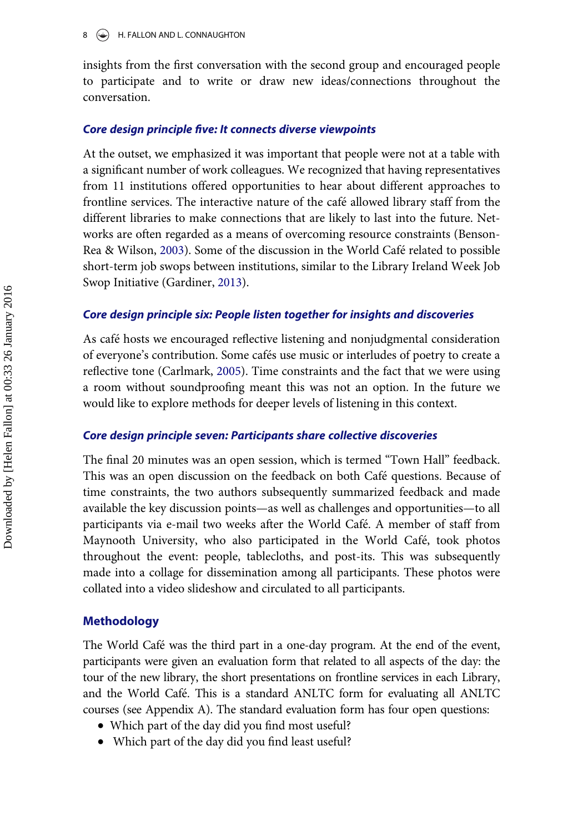insights from the first conversation with the second group and encouraged people to participate and to write or draw new ideas/connections throughout the conversation.

#### Core design principle five: It connects diverse viewpoints

At the outset, we emphasized it was important that people were not at a table with a significant number of work colleagues. We recognized that having representatives from 11 institutions offered opportunities to hear about different approaches to frontline services. The interactive nature of the cafe allowed library staff from the different libraries to make connections that are likely to last into the future. Networks are often regarded as a means of overcoming resource constraints (Benson-Rea & Wilson, [2003](#page-14-1)). Some of the discussion in the World Cafe related to possible short-term job swops between institutions, similar to the Library Ireland Week Job Swop Initiative (Gardiner, [2013](#page-15-12)).

#### Core design principle six: People listen together for insights and discoveries

As café hosts we encouraged reflective listening and nonjudgmental consideration of everyone's contribution. Some cafes use music or interludes of poetry to create a reflective tone (Carlmark, [2005](#page-15-13)). Time constraints and the fact that we were using a room without soundproofing meant this was not an option. In the future we would like to explore methods for deeper levels of listening in this context.

#### Core design principle seven: Participants share collective discoveries

The final 20 minutes was an open session, which is termed "Town Hall" feedback. This was an open discussion on the feedback on both Cafe questions. Because of time constraints, the two authors subsequently summarized feedback and made available the key discussion points—as well as challenges and opportunities—to all participants via e-mail two weeks after the World Cafe. A member of staff from Maynooth University, who also participated in the World Cafe, took photos throughout the event: people, tablecloths, and post-its. This was subsequently made into a collage for dissemination among all participants. These photos were collated into a video slideshow and circulated to all participants.

#### Methodology

The World Cafe was the third part in a one-day program. At the end of the event, participants were given an evaluation form that related to all aspects of the day: the tour of the new library, the short presentations on frontline services in each Library, and the World Cafe. This is a standard ANLTC form for evaluating all ANLTC courses (see Appendix A). The standard evaluation form has four open questions:

- Which part of the day did you find most useful?
- Which part of the day did you find least useful?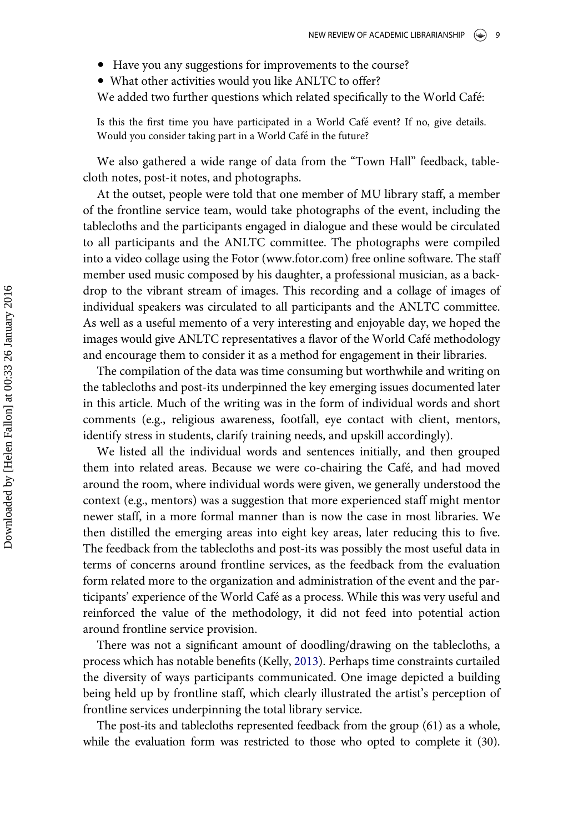- Have you any suggestions for improvements to the course?
- What other activities would you like ANLTC to offer?

We added two further questions which related specifically to the World Café:

Is this the first time you have participated in a World Cafe event? If no, give details. Would you consider taking part in a World Cafe in the future?

We also gathered a wide range of data from the "Town Hall" feedback, tablecloth notes, post-it notes, and photographs.

At the outset, people were told that one member of MU library staff, a member of the frontline service team, would take photographs of the event, including the tablecloths and the participants engaged in dialogue and these would be circulated to all participants and the ANLTC committee. The photographs were compiled into a video collage using the Fotor [\(www.fotor.com](http://www.fotor.com)) free online software. The staff member used music composed by his daughter, a professional musician, as a backdrop to the vibrant stream of images. This recording and a collage of images of individual speakers was circulated to all participants and the ANLTC committee. As well as a useful memento of a very interesting and enjoyable day, we hoped the images would give ANLTC representatives a flavor of the World Café methodology and encourage them to consider it as a method for engagement in their libraries.

The compilation of the data was time consuming but worthwhile and writing on the tablecloths and post-its underpinned the key emerging issues documented later in this article. Much of the writing was in the form of individual words and short comments (e.g., religious awareness, footfall, eye contact with client, mentors, identify stress in students, clarify training needs, and upskill accordingly).

We listed all the individual words and sentences initially, and then grouped them into related areas. Because we were co-chairing the Café, and had moved around the room, where individual words were given, we generally understood the context (e.g., mentors) was a suggestion that more experienced staff might mentor newer staff, in a more formal manner than is now the case in most libraries. We then distilled the emerging areas into eight key areas, later reducing this to five. The feedback from the tablecloths and post-its was possibly the most useful data in terms of concerns around frontline services, as the feedback from the evaluation form related more to the organization and administration of the event and the participants' experience of the World Cafe as a process. While this was very useful and reinforced the value of the methodology, it did not feed into potential action around frontline service provision.

There was not a significant amount of doodling/drawing on the tablecloths, a process which has notable benefits (Kelly, [2013](#page-15-14)). Perhaps time constraints curtailed the diversity of ways participants communicated. One image depicted a building being held up by frontline staff, which clearly illustrated the artist's perception of frontline services underpinning the total library service.

The post-its and tablecloths represented feedback from the group (61) as a whole, while the evaluation form was restricted to those who opted to complete it (30).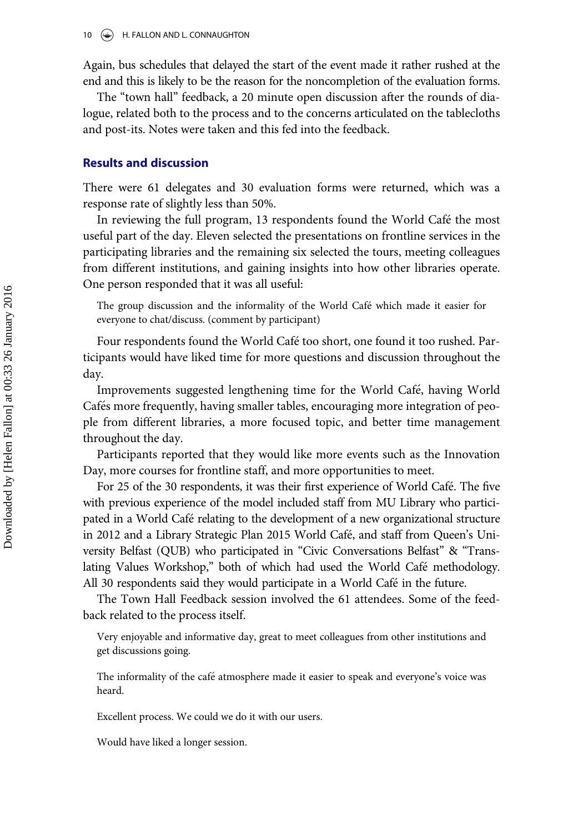Again, bus schedules that delayed the start of the event made it rather rushed at the end and this is likely to be the reason for the noncompletion of the evaluation forms.

The "town hall" feedback, a 20 minute open discussion after the rounds of dialogue, related both to the process and to the concerns articulated on the tablecloths and post-its. Notes were taken and this fed into the feedback.

### Results and discussion

There were 61 delegates and 30 evaluation forms were returned, which was a response rate of slightly less than 50%.

In reviewing the full program, 13 respondents found the World Cafe the most useful part of the day. Eleven selected the presentations on frontline services in the participating libraries and the remaining six selected the tours, meeting colleagues from different institutions, and gaining insights into how other libraries operate. One person responded that it was all useful:

The group discussion and the informality of the World Cafe which made it easier for everyone to chat/discuss. (comment by participant)

Four respondents found the World Cafe too short, one found it too rushed. Participants would have liked time for more questions and discussion throughout the day.

Improvements suggested lengthening time for the World Cafe, having World Cafés more frequently, having smaller tables, encouraging more integration of people from different libraries, a more focused topic, and better time management throughout the day.

Participants reported that they would like more events such as the Innovation Day, more courses for frontline staff, and more opportunities to meet.

For 25 of the 30 respondents, it was their first experience of World Cafe. The five with previous experience of the model included staff from MU Library who participated in a World Cafe relating to the development of a new organizational structure in 2012 and a Library Strategic Plan 2015 World Cafe, and staff from Queen's University Belfast (QUB) who participated in "Civic Conversations Belfast" & "Translating Values Workshop," both of which had used the World Café methodology. All 30 respondents said they would participate in a World Cafe in the future.

The Town Hall Feedback session involved the 61 attendees. Some of the feedback related to the process itself.

Very enjoyable and informative day, great to meet colleagues from other institutions and get discussions going.

The informality of the café atmosphere made it easier to speak and everyone's voice was heard.

Excellent process. We could we do it with our users.

Would have liked a longer session.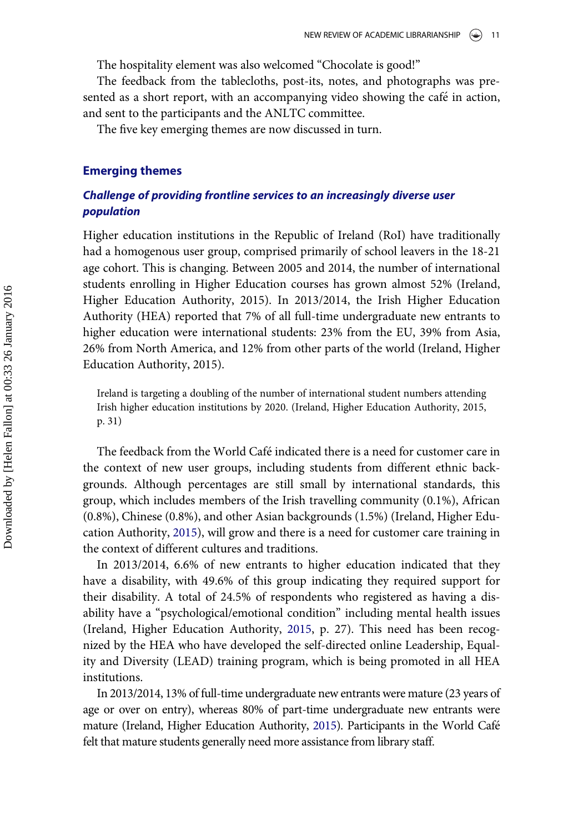The hospitality element was also welcomed "Chocolate is good!"

The feedback from the tablecloths, post-its, notes, and photographs was presented as a short report, with an accompanying video showing the café in action, and sent to the participants and the ANLTC committee.

The five key emerging themes are now discussed in turn.

#### Emerging themes

# Challenge of providing frontline services to an increasingly diverse user population

Higher education institutions in the Republic of Ireland (RoI) have traditionally had a homogenous user group, comprised primarily of school leavers in the 18-21 age cohort. This is changing. Between 2005 and 2014, the number of international students enrolling in Higher Education courses has grown almost 52% (Ireland, Higher Education Authority, 2015). In 2013/2014, the Irish Higher Education Authority (HEA) reported that 7% of all full-time undergraduate new entrants to higher education were international students: 23% from the EU, 39% from Asia, 26% from North America, and 12% from other parts of the world (Ireland, Higher Education Authority, 2015).

Ireland is targeting a doubling of the number of international student numbers attending Irish higher education institutions by 2020. (Ireland, Higher Education Authority, 2015, p. 31)

The feedback from the World Cafe indicated there is a need for customer care in the context of new user groups, including students from different ethnic backgrounds. Although percentages are still small by international standards, this group, which includes members of the Irish travelling community (0.1%), African (0.8%), Chinese (0.8%), and other Asian backgrounds (1.5%) (Ireland, Higher Education Authority, [2015](#page-15-15)), will grow and there is a need for customer care training in the context of different cultures and traditions.

In 2013/2014, 6.6% of new entrants to higher education indicated that they have a disability, with 49.6% of this group indicating they required support for their disability. A total of 24.5% of respondents who registered as having a disability have a "psychological/emotional condition" including mental health issues (Ireland, Higher Education Authority, [2015](#page-15-15), p. 27). This need has been recognized by the HEA who have developed the self-directed online Leadership, Equality and Diversity (LEAD) training program, which is being promoted in all HEA institutions.

In 2013/2014, 13% of full-time undergraduate new entrants were mature (23 years of age or over on entry), whereas 80% of part-time undergraduate new entrants were mature (Ireland, Higher Education Authority, [2015\)](#page-15-15). Participants in the World Cafe felt that mature students generally need more assistance from library staff.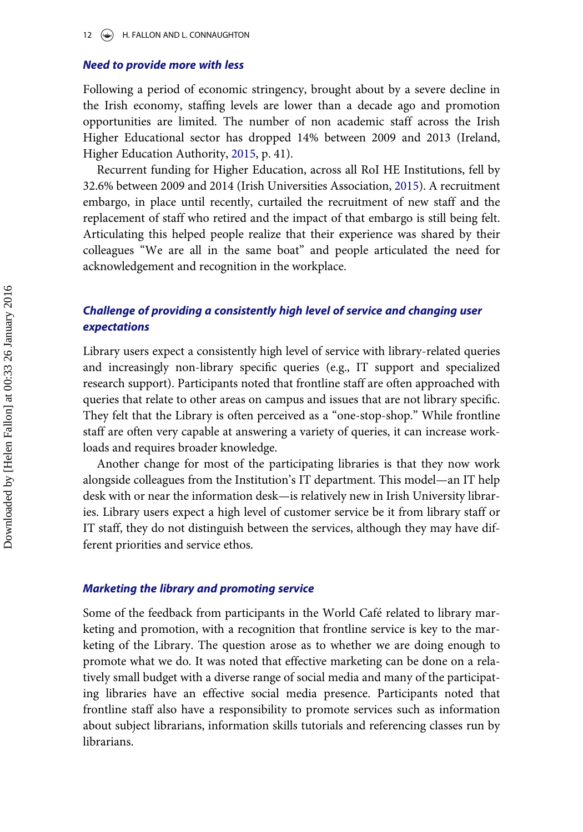#### Need to provide more with less

Following a period of economic stringency, brought about by a severe decline in the Irish economy, staffing levels are lower than a decade ago and promotion opportunities are limited. The number of non academic staff across the Irish Higher Educational sector has dropped 14% between 2009 and 2013 (Ireland, Higher Education Authority, [2015,](#page-15-15) p. 41).

Recurrent funding for Higher Education, across all RoI HE Institutions, fell by 32.6% between 2009 and 2014 (Irish Universities Association, [2015](#page-15-15)). A recruitment embargo, in place until recently, curtailed the recruitment of new staff and the replacement of staff who retired and the impact of that embargo is still being felt. Articulating this helped people realize that their experience was shared by their colleagues "We are all in the same boat" and people articulated the need for acknowledgement and recognition in the workplace.

# Challenge of providing a consistently high level of service and changing user expectations

Library users expect a consistently high level of service with library-related queries and increasingly non-library specific queries (e.g., IT support and specialized research support). Participants noted that frontline staff are often approached with queries that relate to other areas on campus and issues that are not library specific. They felt that the Library is often perceived as a "one-stop-shop." While frontline staff are often very capable at answering a variety of queries, it can increase workloads and requires broader knowledge.

Another change for most of the participating libraries is that they now work alongside colleagues from the Institution's IT department. This model—an IT help desk with or near the information desk—is relatively new in Irish University libraries. Library users expect a high level of customer service be it from library staff or IT staff, they do not distinguish between the services, although they may have different priorities and service ethos.

#### Marketing the library and promoting service

Some of the feedback from participants in the World Café related to library marketing and promotion, with a recognition that frontline service is key to the marketing of the Library. The question arose as to whether we are doing enough to promote what we do. It was noted that effective marketing can be done on a relatively small budget with a diverse range of social media and many of the participating libraries have an effective social media presence. Participants noted that frontline staff also have a responsibility to promote services such as information about subject librarians, information skills tutorials and referencing classes run by librarians.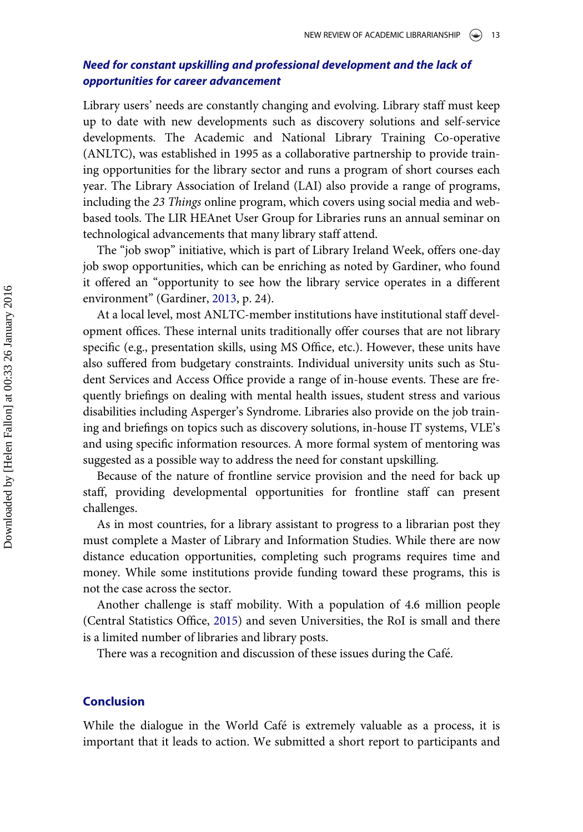# Need for constant upskilling and professional development and the lack of opportunities for career advancement

Library users' needs are constantly changing and evolving. Library staff must keep up to date with new developments such as discovery solutions and self-service developments. The Academic and National Library Training Co-operative (ANLTC), was established in 1995 as a collaborative partnership to provide training opportunities for the library sector and runs a program of short courses each year. The Library Association of Ireland (LAI) also provide a range of programs, including the 23 Things online program, which covers using social media and webbased tools. The LIR HEAnet User Group for Libraries runs an annual seminar on technological advancements that many library staff attend.

The "job swop" initiative, which is part of Library Ireland Week, offers one-day job swop opportunities, which can be enriching as noted by Gardiner, who found it offered an "opportunity to see how the library service operates in a different environment" (Gardiner, [2013](#page-15-12), p. 24).

At a local level, most ANLTC-member institutions have institutional staff development offices. These internal units traditionally offer courses that are not library specific (e.g., presentation skills, using MS Office, etc.). However, these units have also suffered from budgetary constraints. Individual university units such as Student Services and Access Office provide a range of in-house events. These are frequently briefings on dealing with mental health issues, student stress and various disabilities including Asperger's Syndrome. Libraries also provide on the job training and briefings on topics such as discovery solutions, in-house IT systems, VLE's and using specific information resources. A more formal system of mentoring was suggested as a possible way to address the need for constant upskilling.

Because of the nature of frontline service provision and the need for back up staff, providing developmental opportunities for frontline staff can present challenges.

As in most countries, for a library assistant to progress to a librarian post they must complete a Master of Library and Information Studies. While there are now distance education opportunities, completing such programs requires time and money. While some institutions provide funding toward these programs, this is not the case across the sector.

Another challenge is staff mobility. With a population of 4.6 million people (Central Statistics Office, [2015\)](#page-15-16) and seven Universities, the RoI is small and there is a limited number of libraries and library posts.

There was a recognition and discussion of these issues during the Cafe.

#### Conclusion

While the dialogue in the World Café is extremely valuable as a process, it is important that it leads to action. We submitted a short report to participants and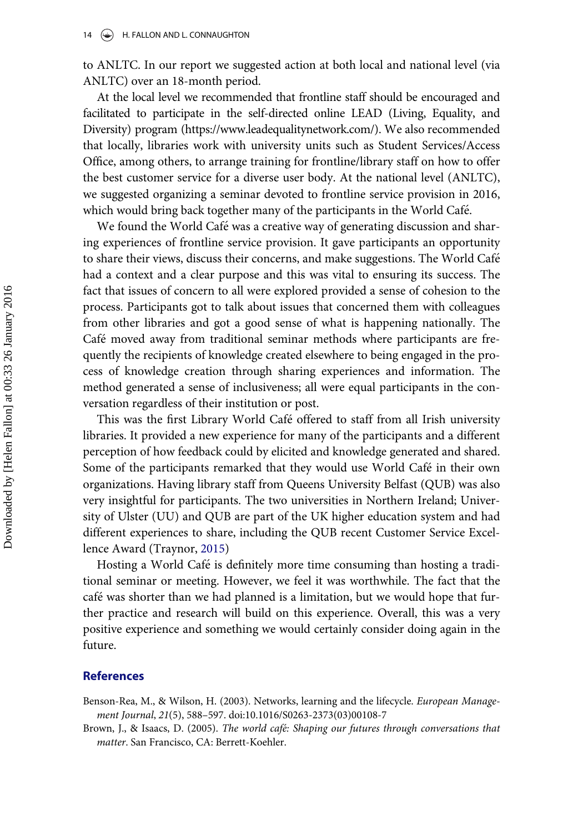to ANLTC. In our report we suggested action at both local and national level (via ANLTC) over an 18-month period.

At the local level we recommended that frontline staff should be encouraged and facilitated to participate in the self-directed online LEAD (Living, Equality, and Diversity) program [\(https://www.leadequalitynetwork.com/\)](https://www.leadequalitynetwork.com/). We also recommended that locally, libraries work with university units such as Student Services/Access Office, among others, to arrange training for frontline/library staff on how to offer the best customer service for a diverse user body. At the national level (ANLTC), we suggested organizing a seminar devoted to frontline service provision in 2016, which would bring back together many of the participants in the World Café.

We found the World Café was a creative way of generating discussion and sharing experiences of frontline service provision. It gave participants an opportunity to share their views, discuss their concerns, and make suggestions. The World Cafe had a context and a clear purpose and this was vital to ensuring its success. The fact that issues of concern to all were explored provided a sense of cohesion to the process. Participants got to talk about issues that concerned them with colleagues from other libraries and got a good sense of what is happening nationally. The Cafe moved away from traditional seminar methods where participants are frequently the recipients of knowledge created elsewhere to being engaged in the process of knowledge creation through sharing experiences and information. The method generated a sense of inclusiveness; all were equal participants in the conversation regardless of their institution or post.

This was the first Library World Cafe offered to staff from all Irish university libraries. It provided a new experience for many of the participants and a different perception of how feedback could by elicited and knowledge generated and shared. Some of the participants remarked that they would use World Cafe in their own organizations. Having library staff from Queens University Belfast (QUB) was also very insightful for participants. The two universities in Northern Ireland; University of Ulster (UU) and QUB are part of the UK higher education system and had different experiences to share, including the QUB recent Customer Service Excellence Award (Traynor, [2015](#page-15-17))

Hosting a World Cafe is definitely more time consuming than hosting a traditional seminar or meeting. However, we feel it was worthwhile. The fact that the café was shorter than we had planned is a limitation, but we would hope that further practice and research will build on this experience. Overall, this was a very positive experience and something we would certainly consider doing again in the future.

#### References

<span id="page-14-1"></span>Benson-Rea, M., & Wilson, H. (2003). Networks, learning and the lifecycle. European Management Journal, 21(5), 588–597. doi:[10.1016/S0263-2373\(03\)00108-7](http://dx.doi.org/10.1016/S0263-2373(03)00108-7)

<span id="page-14-0"></span>Brown, J., & Isaacs, D. (2005). The world cafe: Shaping our futures through conversations that matter. San Francisco, CA: Berrett-Koehler.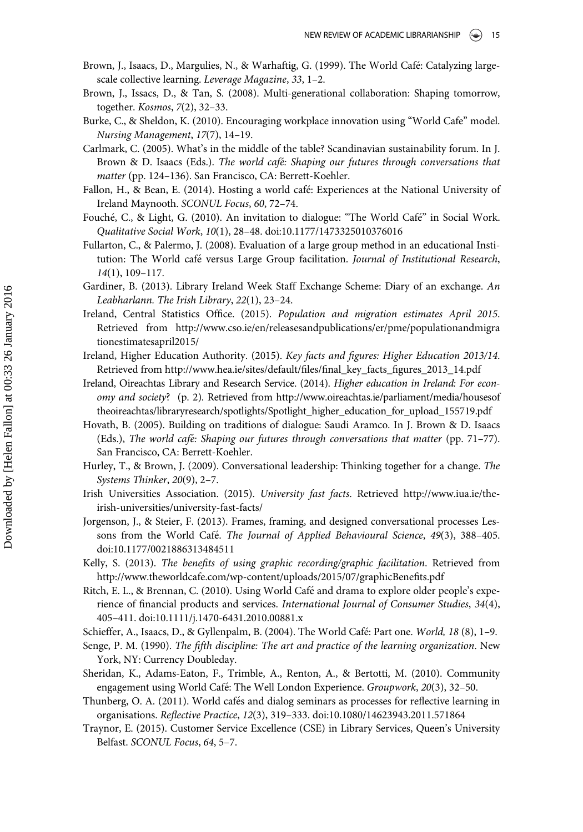- <span id="page-15-2"></span>Brown, J., Isaacs, D., Margulies, N., & Warhaftig, G. (1999). The World Cafe: Catalyzing largescale collective learning. Leverage Magazine, 33, 1–2.
- Brown, J., Issacs, D., & Tan, S. (2008). Multi-generational collaboration: Shaping tomorrow, together. Kosmos, 7(2), 32–33.
- <span id="page-15-9"></span>Burke, C., & Sheldon, K. (2010). Encouraging workplace innovation using "World Cafe" model. Nursing Management, 17(7), 14–19.
- <span id="page-15-13"></span>Carlmark, C. (2005). What's in the middle of the table? Scandinavian sustainability forum. In J. Brown & D. Isaacs (Eds.). The world café: Shaping our futures through conversations that matter (pp. 124–136). San Francisco, CA: Berrett-Koehler.
- <span id="page-15-0"></span>Fallon, H., & Bean, E. (2014). Hosting a world cafe: Experiences at the National University of Ireland Maynooth. SCONUL Focus, 60, 72–74.
- <span id="page-15-7"></span>Fouche, C., & Light, G. (2010). An invitation to dialogue: "The World Cafe" in Social Work. Qualitative Social Work, 10(1), 28–48. doi[:10.1177/1473325010376016](http://dx.doi.org/10.1177/1473325010376016)
- <span id="page-15-6"></span>Fullarton, C., & Palermo, J. (2008). Evaluation of a large group method in an educational Institution: The World café versus Large Group facilitation. Journal of Institutional Research, 14(1), 109–117.
- <span id="page-15-12"></span>Gardiner, B. (2013). Library Ireland Week Staff Exchange Scheme: Diary of an exchange. An Leabharlann. The Irish Library, 22(1), 23–24.
- <span id="page-15-16"></span>Ireland, Central Statistics Office. (2015). Population and migration estimates April 2015. Retrieved from [http://www.cso.ie/en/releasesandpublications/er/pme/populationandmigra](http://www.cso.ie/en/releasesandpublications/er/pme/populationandmigrationestimatesapril2015/) [tionestimatesapril2015/](http://www.cso.ie/en/releasesandpublications/er/pme/populationandmigrationestimatesapril2015/)
- <span id="page-15-15"></span>Ireland, Higher Education Authority. (2015). Key facts and figures: Higher Education 2013/14. Retrieved from [http://www.hea.ie/sites/default/](http://www.hea.ie/sites/default/files/final_key_facts_figures_2013_14.pdf)files/final\_key\_facts\_figures\_2013\_14.pdf
- Ireland, Oireachtas Library and Research Service. (2014). Higher education in Ireland: For economy and society? (p. 2). Retrieved from [http://www.oireachtas.ie/parliament/media/housesof](http://www.oireachtas.ie/parliament/media/housesoftheoireachtas/libraryresearch/spotlights/Spotlight_higher_education_for_upload_155719.pdf) [theoireachtas/libraryresearch/spotlights/Spotlight\\_higher\\_education\\_for\\_upload\\_155719.pdf](http://www.oireachtas.ie/parliament/media/housesoftheoireachtas/libraryresearch/spotlights/Spotlight_higher_education_for_upload_155719.pdf)
- <span id="page-15-5"></span>Hovath, B. (2005). Building on traditions of dialogue: Saudi Aramco. In J. Brown & D. Isaacs (Eds.), The world café: Shaping our futures through conversations that matter (pp. 71-77). San Francisco, CA: Berrett-Koehler.
- Hurley, T., & Brown, J. (2009). Conversational leadership: Thinking together for a change. The Systems Thinker, 20(9), 2–7.
- Irish Universities Association. (2015). University fast facts. Retrieved [http://www.iua.ie/the](http://www.iua.ie/the-irish-universities/university-fast-facts/)[irish-universities/university-fast-facts/](http://www.iua.ie/the-irish-universities/university-fast-facts/)
- <span id="page-15-1"></span>Jorgenson, J., & Steier, F. (2013). Frames, framing, and designed conversational processes Lessons from the World Cafe. The Journal of Applied Behavioural Science, 49(3), 388–405. doi:[10.1177/0021886313484511](http://dx.doi.org/10.1177/0021886313484511)
- <span id="page-15-14"></span>Kelly, S. (2013). The benefits of using graphic recording/graphic facilitation. Retrieved from [http://www.theworldcafe.com/wp-content/uploads/2015/07/graphicBene](http://www.theworldcafe.com/wp-content/uploads/2015/07/graphicBenefits.pdf)fits.pdf
- <span id="page-15-8"></span>Ritch, E. L., & Brennan, C. (2010). Using World Cafe and drama to explore older people's experience of financial products and services. International Journal of Consumer Studies, 34(4), 405–411. doi[:10.1111/j.1470-6431.2010.00881.x](http://dx.doi.org/10.1111/j.1470-6431.2010.00881.x)
- <span id="page-15-3"></span>Schieffer, A., Isaacs, D., & Gyllenpalm, B. (2004). The World Cafe: Part one. World, 18 (8), 1–9.
- <span id="page-15-4"></span>Senge, P. M. (1990). The fifth discipline: The art and practice of the learning organization. New York, NY: Currency Doubleday.
- <span id="page-15-10"></span>Sheridan, K., Adams-Eaton, F., Trimble, A., Renton, A., & Bertotti, M. (2010). Community engagement using World Café: The Well London Experience. Groupwork, 20(3), 32-50.
- <span id="page-15-11"></span>Thunberg, O. A. (2011). World cafés and dialog seminars as processes for reflective learning in organisations. Reflective Practice, 12(3), 319–333. doi[:10.1080/14623943.2011.571864](http://dx.doi.org/10.1080/14623943.2011.571864)
- <span id="page-15-17"></span>Traynor, E. (2015). Customer Service Excellence (CSE) in Library Services, Queen's University Belfast. SCONUL Focus, 64, 5–7.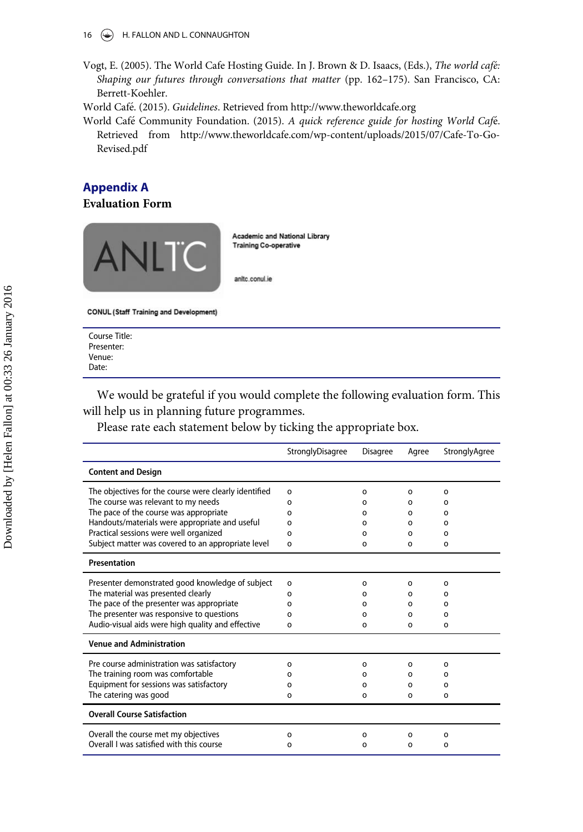#### 16  $\leftrightarrow$  H. FALLON AND L. CONNAUGHTON

<span id="page-16-0"></span>Vogt, E. (2005). The World Cafe Hosting Guide. In J. Brown & D. Isaacs, (Eds.), The world cafe: Shaping our futures through conversations that matter (pp. 162–175). San Francisco, CA: Berrett-Koehler.

World Cafe. (2015). Guidelines. Retrieved from<http://www.theworldcafe.org>

World Cafe Community Foundation. (2015). A quick reference guide for hosting World Cafe. Retrieved from [http://www.theworldcafe.com/wp-content/uploads/2015/07/Cafe-To-Go-](http://www.theworldcafe.com/wp-content/uploads/2015/07/Cafe-To-Go-Revised.pdf)[Revised.pdf](http://www.theworldcafe.com/wp-content/uploads/2015/07/Cafe-To-Go-Revised.pdf)

# Appendix A

# Evaluation Form



**CONUL (Staff Training and Development)** 

| Course Title: |  |
|---------------|--|
| Presenter:    |  |
| Venue:        |  |
| Date:         |  |

We would be grateful if you would complete the following evaluation form. This will help us in planning future programmes.

Please rate each statement below by ticking the appropriate box.

|                                                       | StronglyDisagree | Disagree | Agree | StronglyAgree |
|-------------------------------------------------------|------------------|----------|-------|---------------|
| <b>Content and Design</b>                             |                  |          |       |               |
| The objectives for the course were clearly identified | 0                | 0        | 0     | 0             |
| The course was relevant to my needs                   | O                | 0        | ο     | 0             |
| The pace of the course was appropriate                | O                | O        | O     | O             |
| Handouts/materials were appropriate and useful        | O                | O        | ი     | O             |
| Practical sessions were well organized                | O                | O        | O     | O             |
| Subject matter was covered to an appropriate level    | o                | O        | o     | o             |
| Presentation                                          |                  |          |       |               |
| Presenter demonstrated good knowledge of subject      | 0                | 0        | o     | O             |
| The material was presented clearly                    | O                | ο        | ο     | 0             |
| The pace of the presenter was appropriate             | O                | 0        | ο     | 0             |
| The presenter was responsive to questions             | O                | ο        | ο     | O             |
| Audio-visual aids were high quality and effective     | ο                | O        | o     | o             |
| <b>Venue and Administration</b>                       |                  |          |       |               |
| Pre course administration was satisfactory            | O                | ο        | 0     | 0             |
| The training room was comfortable                     | O                | ο        | ο     | 0             |
| Equipment for sessions was satisfactory               | ο                | ο        | ο     | O             |
| The catering was good                                 | 0                | o        | o     | 0             |
| <b>Overall Course Satisfaction</b>                    |                  |          |       |               |
| Overall the course met my objectives                  | o                | o        | o     | O             |
| Overall I was satisfied with this course              | ο                | ο        | 0     | 0             |